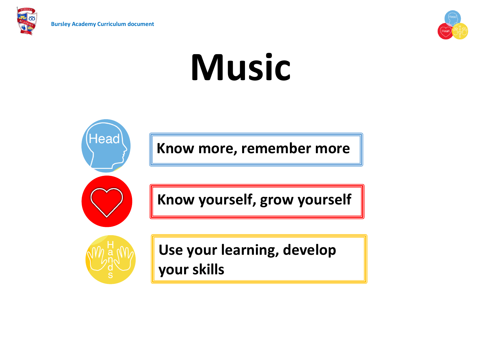Head



# **Music**

**Know more, remember more**

**Know yourself, grow yourself**



**Use your learning, develop your skills**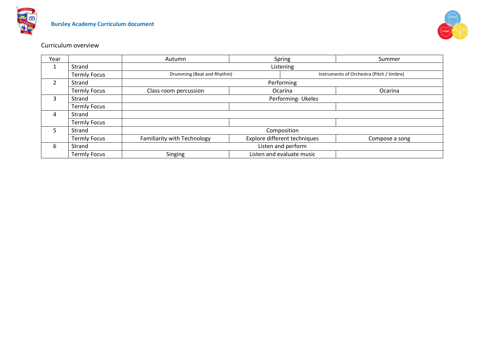



# Curriculum overview

| Year           |                     | Autumn                      | Spring                       |  | Summer                                    |
|----------------|---------------------|-----------------------------|------------------------------|--|-------------------------------------------|
|                | Strand              |                             | Listening                    |  |                                           |
|                | <b>Termly Focus</b> | Drumming (Beat and Rhythm)  |                              |  | Instruments of Orchestra (Pitch / timbre) |
| $\overline{2}$ | Strand              |                             | Performing                   |  |                                           |
|                | <b>Termly Focus</b> | Class room percussion       | Ocarina                      |  | Ocarina                                   |
| 3              | Strand              |                             | Performing-Ukeles            |  |                                           |
|                | <b>Termly Focus</b> |                             |                              |  |                                           |
| 4              | Strand              |                             |                              |  |                                           |
|                | <b>Termly Focus</b> |                             |                              |  |                                           |
| 5              | Strand              |                             | Composition                  |  |                                           |
|                | <b>Termly Focus</b> | Familiarity with Technology | Explore different techniques |  | Compose a song                            |
| 6              | Strand              |                             | Listen and perform           |  |                                           |
|                | <b>Termly Focus</b> | Singing                     | Listen and evaluate music    |  |                                           |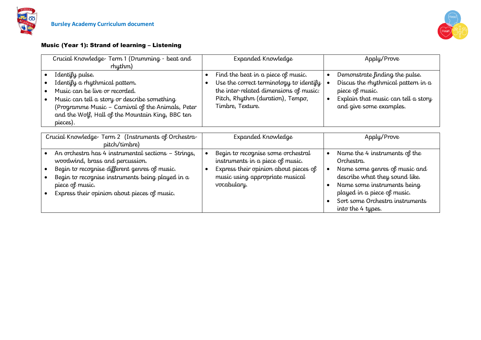



### Music (Year 1): Strand of learning – Listening

| Crucial Knowledge-Term 1 (Drumming - beat and<br>rhythm)                                                                                                                                                                                                       | Expanded Knowledge                                                                                                                                                              | Apply/Prove                                                                                                                                                                                                                                                    |
|----------------------------------------------------------------------------------------------------------------------------------------------------------------------------------------------------------------------------------------------------------------|---------------------------------------------------------------------------------------------------------------------------------------------------------------------------------|----------------------------------------------------------------------------------------------------------------------------------------------------------------------------------------------------------------------------------------------------------------|
| Identify pulse.<br>Identify a rhythmical pattern.<br>Music can be live or recorded.<br>Music can tell a story or describe something<br>(Programme Music - Carnival of the Animals, Peter<br>and the Wolf, Hall of the Mountain King, BBC ten<br>pieces).       | Find the beat in a piece of music.<br>Use the correct terminology to identify<br>the inter-related dimensions of music:<br>Pitch, Rhythm (duration), Tempo,<br>Timbre, Texture. | Demonstrate finding the pulse.<br>Discus the rhythmical pattern in a<br>piece of music.<br>Explain that music can tell a story<br>and give some examples.                                                                                                      |
| Crucial Knowledge-Term 2 (Instruments of Orchestra-<br>pitch/timbre)                                                                                                                                                                                           | Expanded Knowledge                                                                                                                                                              | Apply/Prove                                                                                                                                                                                                                                                    |
| An orchestra has 4 instrumental sections - Strings,<br>woodwind, brass and percussion.<br>Begin to recognise different genres of music.<br>Begin to recognise instruments being played in a<br>piece of music.<br>Express their opinion about pieces of music. | Begin to recognise some orchestral<br>instruments in a piece of music.<br>Express their opinion about pieces of<br>music using appropriate musical<br>vocabulary.               | Name the 4 instruments of the<br>$\bullet$<br>Orchestra.<br>Name some genres of music and<br>$\bullet$<br>describe what they sound like.<br>Name some instruments being<br>played in a piece of music.<br>Sort some Orchestra instruments<br>into the 4 types. |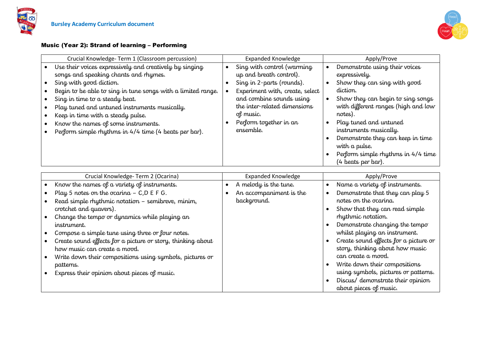



## Music (Year 2): Strand of learning – Performing

| Crucial Knowledge- Term 1 (Classroom percussion)                                                                                                                                                                                                                                                                | <b>Expanded Knowledge</b>                                                                                                                                                    | Apply/Prove                                                                                                                                                                                                                                                                                           |
|-----------------------------------------------------------------------------------------------------------------------------------------------------------------------------------------------------------------------------------------------------------------------------------------------------------------|------------------------------------------------------------------------------------------------------------------------------------------------------------------------------|-------------------------------------------------------------------------------------------------------------------------------------------------------------------------------------------------------------------------------------------------------------------------------------------------------|
| Use their voices expressively and creatively by singing<br>songs and speaking chants and rhymes.                                                                                                                                                                                                                | Sing with control (warming<br>up and breath control).                                                                                                                        | Demonstrate using their voices<br>expressively.                                                                                                                                                                                                                                                       |
| Sing with good diction.<br>Begin to be able to sing in tune songs with a limited range.<br>Sing in time to a steady beat.<br>Play tuned and untuned instruments musically.<br>Keep in time with a steady pulse.<br>Know the names of some instruments.<br>Perform simple rhythms in 4/4 time (4 beats per bar). | Sing in 2-parts (rounds).<br>Experiment with, create, select<br>and combine sounds using<br>the inter-related dimensions<br>of music.<br>Perform together in an<br>ensemble. | Show they can sing with good<br>diction.<br>Show they can begin to sing songs<br>with different ranges (high and low<br>notes).<br>Play tuned and untuned<br>instruments musically.<br>Demonstrate they can keep in time<br>with a pulse.<br>Perform simple rhythms in 4/4 time<br>(4 beats per bar). |

| Crucial Knowledge- Term 2 (Ocarina)                         | <b>Expanded Knowledge</b> | Apply/Prove                                 |
|-------------------------------------------------------------|---------------------------|---------------------------------------------|
| Know the names of a variety of instruments.                 | A melody is the tune.     | Name a variety of instruments.<br>$\bullet$ |
| Play 5 notes on the ocarina $-$ C,D E F G.                  | An accompaniment is the   | Demonstrate that they can play 5            |
| Read simple rhythmic notation - semibreve, minim,           | background.               | notes on the ocarina.                       |
| crotchet and quavers).                                      |                           | Show that they can read simple              |
| Change the tempo or dynamics while playing an               |                           | rhythmic notation.                          |
| instrument.                                                 |                           | Demonstrate changing the tempo              |
| Compose a simple tune using three or four notes.            |                           | whilst playing an instrument.               |
| Create sound effects for a picture or story, thinking about |                           | Create sound effects for a picture or       |
| how music can create a mood.                                |                           | story, thinking about how music             |
| Write down their compositions using symbols, pictures or    |                           | can create a mood.                          |
| patterns.                                                   |                           | Write down their compositions               |
| Express their opinion about pieces of music.                |                           | using symbols, pictures or patterns.        |
|                                                             |                           | Discus/ demonstrate their opinion           |
|                                                             |                           | about pieces of music.                      |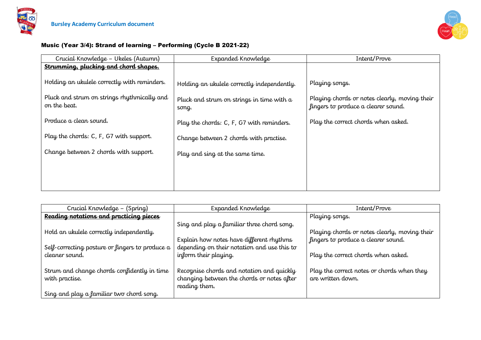



## Music (Year 3/4): Strand of learning – Performing (Cycle B 2021-22)

| Crucial Knowledge - Ukeles (Autumn)                         | Expanded Knowledge                                 | Intent/Prove                                                                         |
|-------------------------------------------------------------|----------------------------------------------------|--------------------------------------------------------------------------------------|
| <u>Strumming, plucking and chord shapes.</u>                |                                                    |                                                                                      |
| Holding an ukulele correctly with reminders.                | Holding an ukulele correctly independently.        | Playing songs.                                                                       |
| Pluck and strum on strings rhythmically and<br>on the beat. | Pluck and strum on strings in time with a<br>song. | Playing chords or notes clearly, moving their<br>fingers to produce a clearer sound. |
| Produce a clean sound.                                      | Play the chords: C, F, G7 with reminders.          | Play the correct chords when asked.                                                  |
| Play the chords: C, F, G7 with support.                     | Change between 2 chords with practise.             |                                                                                      |
| Change between 2 chords with support.                       | Play and sing at the same time.                    |                                                                                      |
|                                                             |                                                    |                                                                                      |
|                                                             |                                                    |                                                                                      |

| Crucial Knowledge - (Spring)                    | Expanded Knowledge                          | Intent/Prove                                  |
|-------------------------------------------------|---------------------------------------------|-----------------------------------------------|
| Reading notations and practicing pieces         |                                             | Playing songs.                                |
|                                                 | Sing and play a familiar three chord song.  |                                               |
| Hold an ukulele correctly independently.        |                                             | Playing chords or notes clearly, moving their |
|                                                 | Explain how notes have different rhythms    | fingers to produce a clearer sound.           |
| Self-correcting posture or fingers to produce a | depending on their notation and use this to |                                               |
| cleaner sound.                                  | inform their playing.                       | Play the correct chords when asked.           |
|                                                 |                                             |                                               |
| Strum and change chords confidently in time     | Recognise chords and notation and quickly   | Play the correct notes or chords when they    |
| with practise.                                  | changing between the chords or notes after  | are written down.                             |
|                                                 | reading them.                               |                                               |
| Sing and play a familiar two chord song.        |                                             |                                               |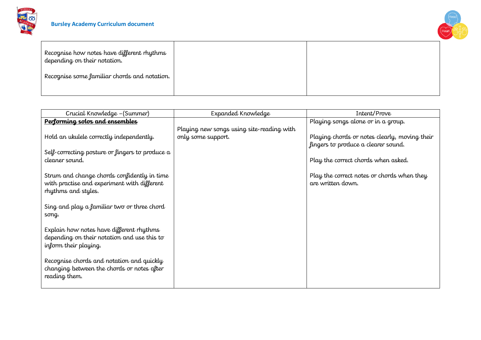



| Recognise how notes have different rhythms<br>depending on their notation. |  |
|----------------------------------------------------------------------------|--|
| Recognise some familiar chords and notation.                               |  |

| Crucial Knowledge - (Summer)                                       | Expanded Knowledge                        | Intent/Prove                                                    |
|--------------------------------------------------------------------|-------------------------------------------|-----------------------------------------------------------------|
| Performing solos and ensembles                                     |                                           | Playing songs alone or in a group.                              |
|                                                                    | Playing new songs using site-reading with |                                                                 |
| Hold an ukulele correctly independently.                           | only some support.                        | Playing chords or notes clearly, moving their                   |
|                                                                    |                                           | fingers to produce a clearer sound.                             |
| Self-correcting posture or fingers to produce a                    |                                           |                                                                 |
| cleaner sound.                                                     |                                           | Play the correct chords when asked.                             |
|                                                                    |                                           |                                                                 |
| Strum and change chords confidently in time                        |                                           | Play the correct notes or chords when they<br>are written down. |
| with practise and experiment with different<br>rhythms and styles. |                                           |                                                                 |
|                                                                    |                                           |                                                                 |
| Sing and play a familiar two or three chord                        |                                           |                                                                 |
| song.                                                              |                                           |                                                                 |
|                                                                    |                                           |                                                                 |
| Explain how notes have different rhythms                           |                                           |                                                                 |
| depending on their notation and use this to                        |                                           |                                                                 |
| inform their playing.                                              |                                           |                                                                 |
|                                                                    |                                           |                                                                 |
| Recognise chords and notation and quickly                          |                                           |                                                                 |
| changing between the chords or notes after                         |                                           |                                                                 |
| reading them.                                                      |                                           |                                                                 |
|                                                                    |                                           |                                                                 |